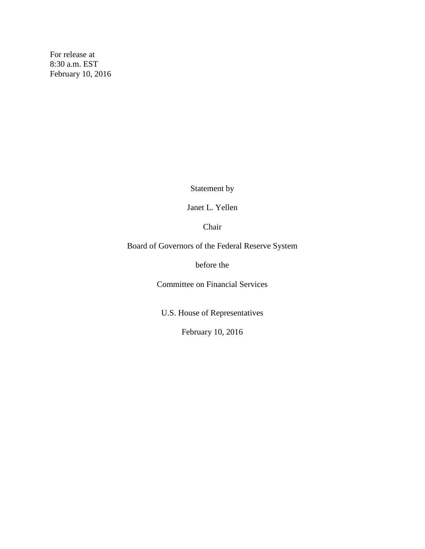For release at 8:30 a.m. EST February 10, 2016

Statement by

Janet L. Yellen

Chair

Board of Governors of the Federal Reserve System

before the

Committee on Financial Services

U.S. House of Representatives

February 10, 2016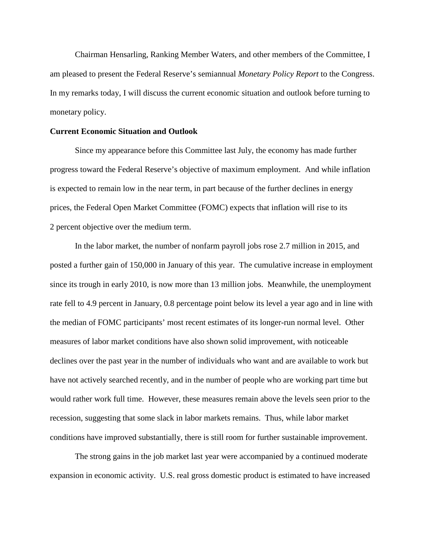Chairman Hensarling, Ranking Member Waters, and other members of the Committee, I am pleased to present the Federal Reserve's semiannual *Monetary Policy Report* to the Congress. In my remarks today, I will discuss the current economic situation and outlook before turning to monetary policy.

## **Current Economic Situation and Outlook**

Since my appearance before this Committee last July, the economy has made further progress toward the Federal Reserve's objective of maximum employment. And while inflation is expected to remain low in the near term, in part because of the further declines in energy prices, the Federal Open Market Committee (FOMC) expects that inflation will rise to its 2 percent objective over the medium term.

In the labor market, the number of nonfarm payroll jobs rose 2.7 million in 2015, and posted a further gain of 150,000 in January of this year. The cumulative increase in employment since its trough in early 2010, is now more than 13 million jobs. Meanwhile, the unemployment rate fell to 4.9 percent in January, 0.8 percentage point below its level a year ago and in line with the median of FOMC participants' most recent estimates of its longer-run normal level. Other measures of labor market conditions have also shown solid improvement, with noticeable declines over the past year in the number of individuals who want and are available to work but have not actively searched recently, and in the number of people who are working part time but would rather work full time. However, these measures remain above the levels seen prior to the recession, suggesting that some slack in labor markets remains. Thus, while labor market conditions have improved substantially, there is still room for further sustainable improvement.

The strong gains in the job market last year were accompanied by a continued moderate expansion in economic activity. U.S. real gross domestic product is estimated to have increased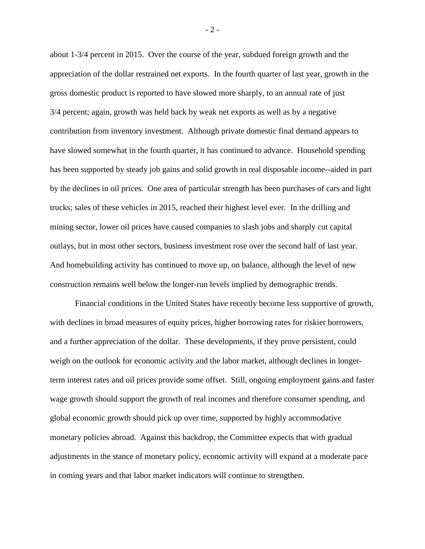about 1-3/4 percent in 2015. Over the course of the year, subdued foreign growth and the appreciation of the dollar restrained net exports. In the fourth quarter of last year, growth in the gross domestic product is reported to have slowed more sharply, to an annual rate of just 3/4 percent; again, growth was held back by weak net exports as well as by a negative contribution from inventory investment. Although private domestic final demand appears to have slowed somewhat in the fourth quarter, it has continued to advance. Household spending has been supported by steady job gains and solid growth in real disposable income--aided in part by the declines in oil prices. One area of particular strength has been purchases of cars and light trucks; sales of these vehicles in 2015, reached their highest level ever. In the drilling and mining sector, lower oil prices have caused companies to slash jobs and sharply cut capital outlays, but in most other sectors, business investment rose over the second half of last year. And homebuilding activity has continued to move up, on balance, although the level of new construction remains well below the longer-run levels implied by demographic trends.

Financial conditions in the United States have recently become less supportive of growth, with declines in broad measures of equity prices, higher borrowing rates for riskier borrowers, and a further appreciation of the dollar. These developments, if they prove persistent, could weigh on the outlook for economic activity and the labor market, although declines in longerterm interest rates and oil prices provide some offset. Still, ongoing employment gains and faster wage growth should support the growth of real incomes and therefore consumer spending, and global economic growth should pick up over time, supported by highly accommodative monetary policies abroad. Against this backdrop, the Committee expects that with gradual adjustments in the stance of monetary policy, economic activity will expand at a moderate pace in coming years and that labor market indicators will continue to strengthen.

 $-2 -$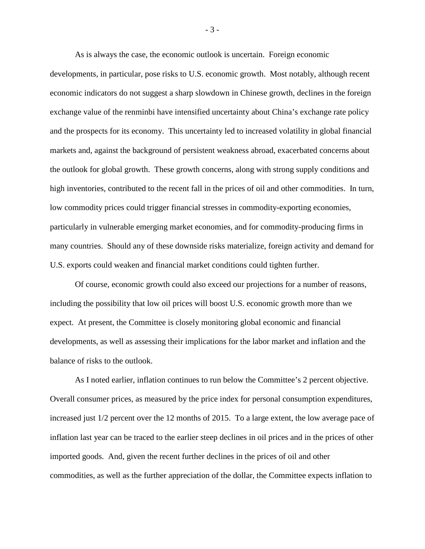As is always the case, the economic outlook is uncertain. Foreign economic

developments, in particular, pose risks to U.S. economic growth. Most notably, although recent economic indicators do not suggest a sharp slowdown in Chinese growth, declines in the foreign exchange value of the renminbi have intensified uncertainty about China's exchange rate policy and the prospects for its economy. This uncertainty led to increased volatility in global financial markets and, against the background of persistent weakness abroad, exacerbated concerns about the outlook for global growth. These growth concerns, along with strong supply conditions and high inventories, contributed to the recent fall in the prices of oil and other commodities. In turn, low commodity prices could trigger financial stresses in commodity-exporting economies, particularly in vulnerable emerging market economies, and for commodity-producing firms in many countries. Should any of these downside risks materialize, foreign activity and demand for U.S. exports could weaken and financial market conditions could tighten further.

Of course, economic growth could also exceed our projections for a number of reasons, including the possibility that low oil prices will boost U.S. economic growth more than we expect. At present, the Committee is closely monitoring global economic and financial developments, as well as assessing their implications for the labor market and inflation and the balance of risks to the outlook.

As I noted earlier, inflation continues to run below the Committee's 2 percent objective. Overall consumer prices, as measured by the price index for personal consumption expenditures, increased just 1/2 percent over the 12 months of 2015. To a large extent, the low average pace of inflation last year can be traced to the earlier steep declines in oil prices and in the prices of other imported goods. And, given the recent further declines in the prices of oil and other commodities, as well as the further appreciation of the dollar, the Committee expects inflation to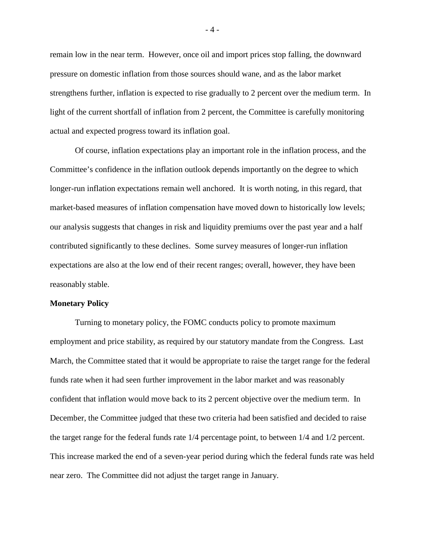remain low in the near term. However, once oil and import prices stop falling, the downward pressure on domestic inflation from those sources should wane, and as the labor market strengthens further, inflation is expected to rise gradually to 2 percent over the medium term. In light of the current shortfall of inflation from 2 percent, the Committee is carefully monitoring actual and expected progress toward its inflation goal.

Of course, inflation expectations play an important role in the inflation process, and the Committee's confidence in the inflation outlook depends importantly on the degree to which longer-run inflation expectations remain well anchored. It is worth noting, in this regard, that market-based measures of inflation compensation have moved down to historically low levels; our analysis suggests that changes in risk and liquidity premiums over the past year and a half contributed significantly to these declines. Some survey measures of longer-run inflation expectations are also at the low end of their recent ranges; overall, however, they have been reasonably stable.

## **Monetary Policy**

Turning to monetary policy, the FOMC conducts policy to promote maximum employment and price stability, as required by our statutory mandate from the Congress. Last March, the Committee stated that it would be appropriate to raise the target range for the federal funds rate when it had seen further improvement in the labor market and was reasonably confident that inflation would move back to its 2 percent objective over the medium term. In December, the Committee judged that these two criteria had been satisfied and decided to raise the target range for the federal funds rate 1/4 percentage point, to between 1/4 and 1/2 percent. This increase marked the end of a seven-year period during which the federal funds rate was held near zero. The Committee did not adjust the target range in January.

- 4 -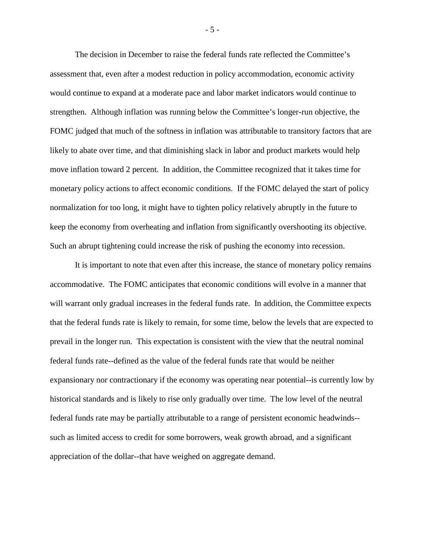The decision in December to raise the federal funds rate reflected the Committee's assessment that, even after a modest reduction in policy accommodation, economic activity would continue to expand at a moderate pace and labor market indicators would continue to strengthen. Although inflation was running below the Committee's longer-run objective, the FOMC judged that much of the softness in inflation was attributable to transitory factors that are likely to abate over time, and that diminishing slack in labor and product markets would help move inflation toward 2 percent. In addition, the Committee recognized that it takes time for monetary policy actions to affect economic conditions. If the FOMC delayed the start of policy normalization for too long, it might have to tighten policy relatively abruptly in the future to keep the economy from overheating and inflation from significantly overshooting its objective. Such an abrupt tightening could increase the risk of pushing the economy into recession.

It is important to note that even after this increase, the stance of monetary policy remains accommodative. The FOMC anticipates that economic conditions will evolve in a manner that will warrant only gradual increases in the federal funds rate. In addition, the Committee expects that the federal funds rate is likely to remain, for some time, below the levels that are expected to prevail in the longer run. This expectation is consistent with the view that the neutral nominal federal funds rate--defined as the value of the federal funds rate that would be neither expansionary nor contractionary if the economy was operating near potential--is currently low by historical standards and is likely to rise only gradually over time. The low level of the neutral federal funds rate may be partially attributable to a range of persistent economic headwinds- such as limited access to credit for some borrowers, weak growth abroad, and a significant appreciation of the dollar--that have weighed on aggregate demand.

- 5 -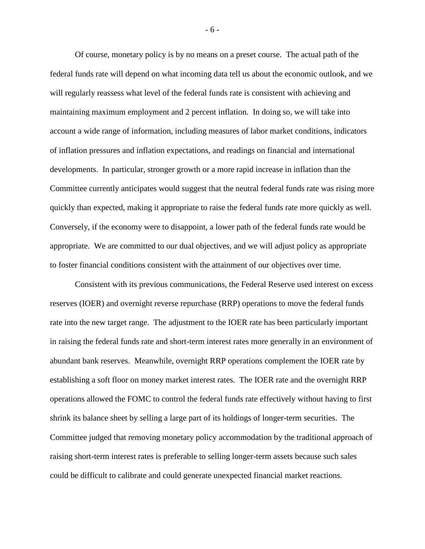Of course, monetary policy is by no means on a preset course. The actual path of the federal funds rate will depend on what incoming data tell us about the economic outlook, and we will regularly reassess what level of the federal funds rate is consistent with achieving and maintaining maximum employment and 2 percent inflation. In doing so, we will take into account a wide range of information, including measures of labor market conditions, indicators of inflation pressures and inflation expectations, and readings on financial and international developments. In particular, stronger growth or a more rapid increase in inflation than the Committee currently anticipates would suggest that the neutral federal funds rate was rising more quickly than expected, making it appropriate to raise the federal funds rate more quickly as well. Conversely, if the economy were to disappoint, a lower path of the federal funds rate would be appropriate. We are committed to our dual objectives, and we will adjust policy as appropriate to foster financial conditions consistent with the attainment of our objectives over time.

Consistent with its previous communications, the Federal Reserve used interest on excess reserves (IOER) and overnight reverse repurchase (RRP) operations to move the federal funds rate into the new target range. The adjustment to the IOER rate has been particularly important in raising the federal funds rate and short-term interest rates more generally in an environment of abundant bank reserves. Meanwhile, overnight RRP operations complement the IOER rate by establishing a soft floor on money market interest rates. The IOER rate and the overnight RRP operations allowed the FOMC to control the federal funds rate effectively without having to first shrink its balance sheet by selling a large part of its holdings of longer-term securities. The Committee judged that removing monetary policy accommodation by the traditional approach of raising short-term interest rates is preferable to selling longer-term assets because such sales could be difficult to calibrate and could generate unexpected financial market reactions.

- 6 -